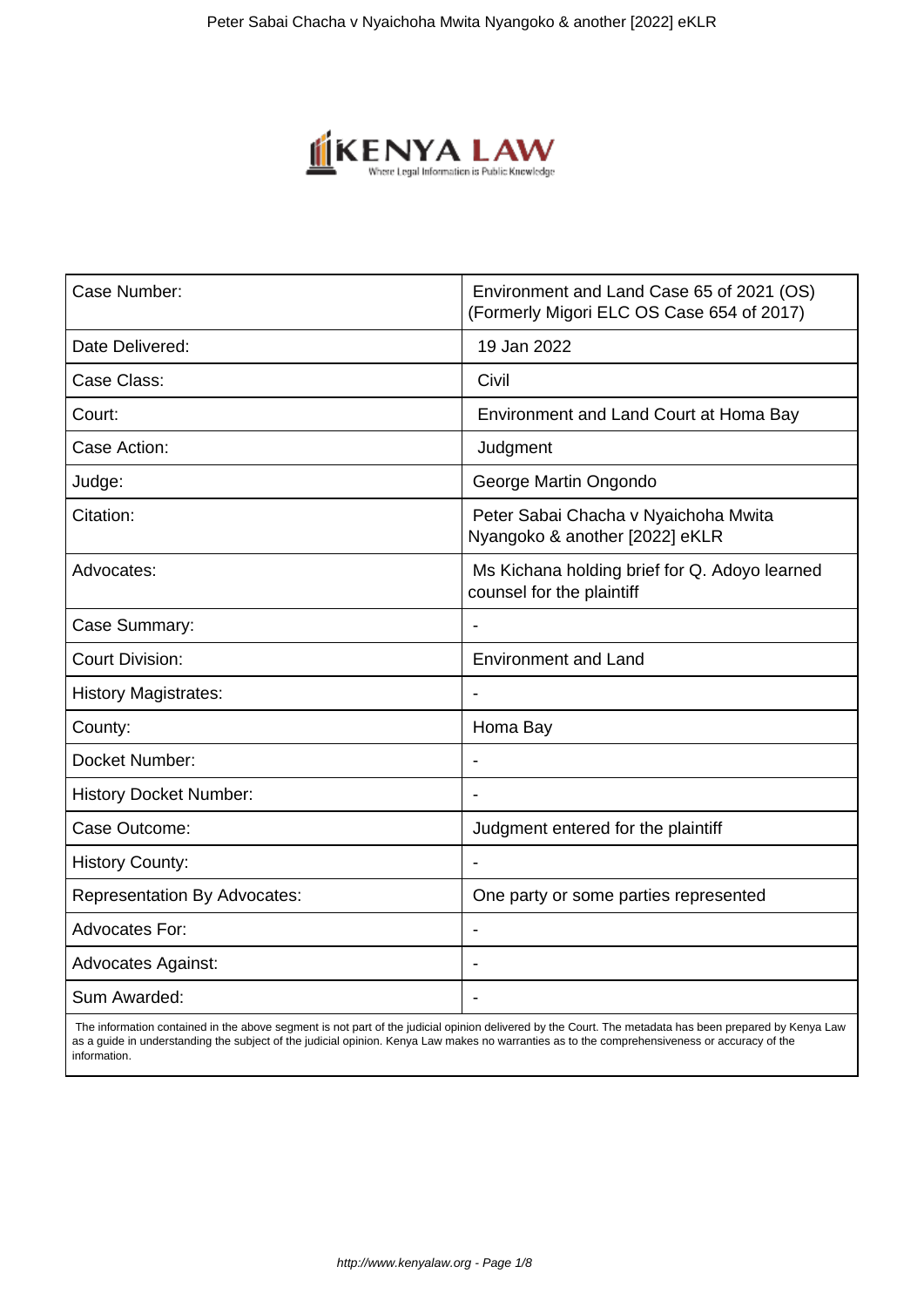

| Case Number:                        | Environment and Land Case 65 of 2021 (OS)<br>(Formerly Migori ELC OS Case 654 of 2017) |
|-------------------------------------|----------------------------------------------------------------------------------------|
| Date Delivered:                     | 19 Jan 2022                                                                            |
| Case Class:                         | Civil                                                                                  |
| Court:                              | Environment and Land Court at Homa Bay                                                 |
| Case Action:                        | Judgment                                                                               |
| Judge:                              | George Martin Ongondo                                                                  |
| Citation:                           | Peter Sabai Chacha v Nyaichoha Mwita<br>Nyangoko & another [2022] eKLR                 |
| Advocates:                          | Ms Kichana holding brief for Q. Adoyo learned<br>counsel for the plaintiff             |
| Case Summary:                       |                                                                                        |
| <b>Court Division:</b>              | <b>Environment and Land</b>                                                            |
| <b>History Magistrates:</b>         | $\overline{\phantom{0}}$                                                               |
| County:                             | Homa Bay                                                                               |
| Docket Number:                      |                                                                                        |
| <b>History Docket Number:</b>       | $\blacksquare$                                                                         |
| Case Outcome:                       | Judgment entered for the plaintiff                                                     |
| <b>History County:</b>              |                                                                                        |
| <b>Representation By Advocates:</b> | One party or some parties represented                                                  |
| <b>Advocates For:</b>               | $\blacksquare$                                                                         |
| <b>Advocates Against:</b>           | $\blacksquare$                                                                         |
| Sum Awarded:                        |                                                                                        |

 The information contained in the above segment is not part of the judicial opinion delivered by the Court. The metadata has been prepared by Kenya Law as a guide in understanding the subject of the judicial opinion. Kenya Law makes no warranties as to the comprehensiveness or accuracy of the information.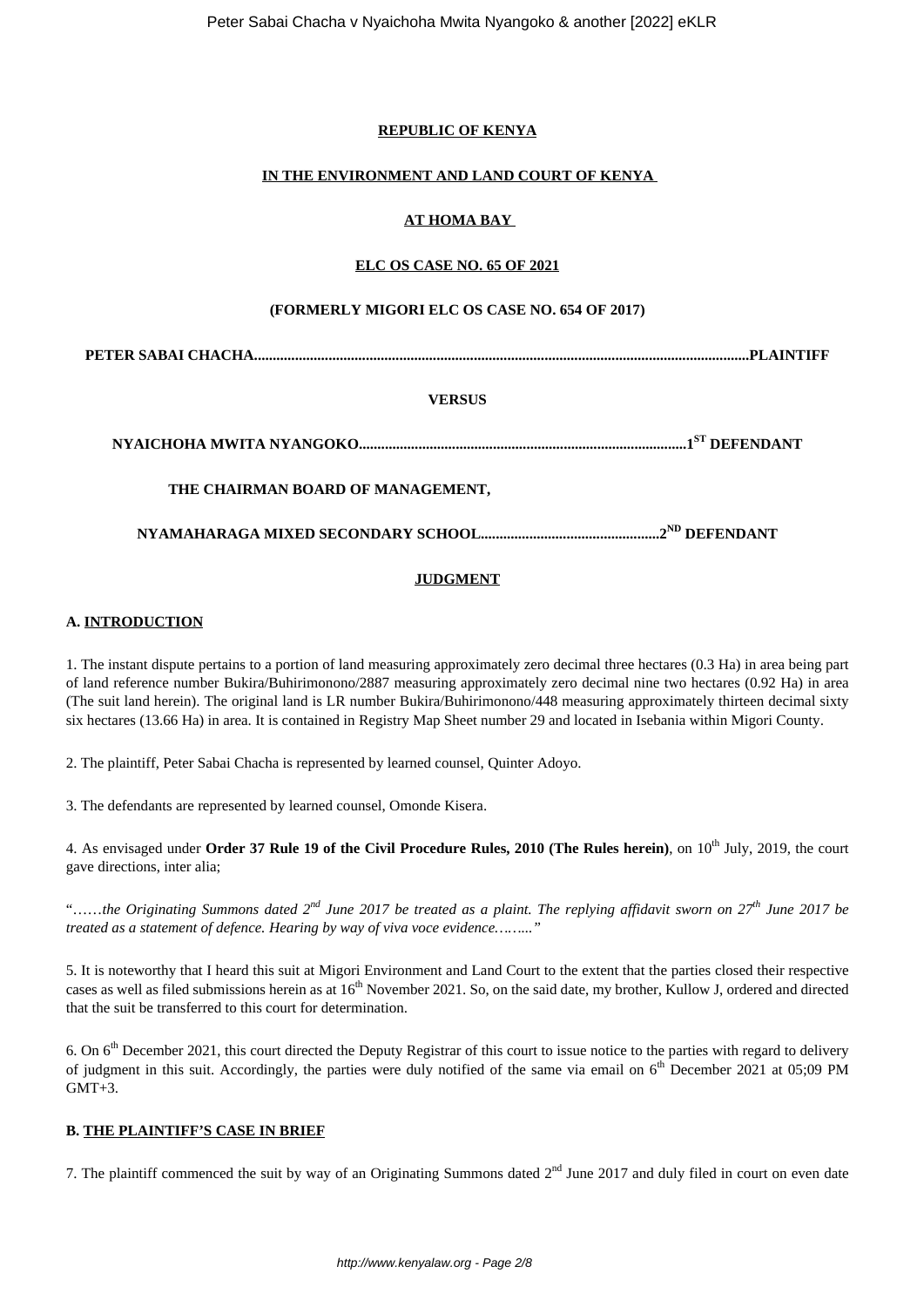### **REPUBLIC OF KENYA**

# **IN THE ENVIRONMENT AND LAND COURT OF KENYA**

## **AT HOMA BAY**

### **ELC OS CASE NO. 65 OF 2021**

#### **(FORMERLY MIGORI ELC OS CASE NO. 654 OF 2017)**

**PETER SABAI CHACHA.....................................................................................................................................PLAINTIFF**

## **VERSUS**

**NYAICHOHA MWITA NYANGOKO........................................................................................1ST DEFENDANT**

# **THE CHAIRMAN BOARD OF MANAGEMENT,**

**NYAMAHARAGA MIXED SECONDARY SCHOOL................................................2ND DEFENDANT**

#### **JUDGMENT**

## **A. INTRODUCTION**

1. The instant dispute pertains to a portion of land measuring approximately zero decimal three hectares (0.3 Ha) in area being part of land reference number Bukira/Buhirimonono/2887 measuring approximately zero decimal nine two hectares (0.92 Ha) in area (The suit land herein). The original land is LR number Bukira/Buhirimonono/448 measuring approximately thirteen decimal sixty six hectares (13.66 Ha) in area. It is contained in Registry Map Sheet number 29 and located in Isebania within Migori County.

2. The plaintiff, Peter Sabai Chacha is represented by learned counsel, Quinter Adoyo.

3. The defendants are represented by learned counsel, Omonde Kisera.

4. As envisaged under **Order 37 Rule 19 of the Civil Procedure Rules, 2010 (The Rules herein)**, on 10<sup>th</sup> July, 2019, the court gave directions, inter alia;

"……*the Originating Summons dated 2nd June 2017 be treated as a plaint. The replying affidavit sworn on 27th June 2017 be treated as a statement of defence. Hearing by way of viva voce evidence……..."*

5. It is noteworthy that I heard this suit at Migori Environment and Land Court to the extent that the parties closed their respective cases as well as filed submissions herein as at 16<sup>th</sup> November 2021. So, on the said date, my brother, Kullow J, ordered and directed that the suit be transferred to this court for determination.

6. On 6th December 2021, this court directed the Deputy Registrar of this court to issue notice to the parties with regard to delivery of judgment in this suit. Accordingly, the parties were duly notified of the same via email on  $6<sup>th</sup>$  December 2021 at 05:09 PM  $GMT+3$ .

#### **B. THE PLAINTIFF'S CASE IN BRIEF**

7. The plaintiff commenced the suit by way of an Originating Summons dated  $2<sup>nd</sup>$  June 2017 and duly filed in court on even date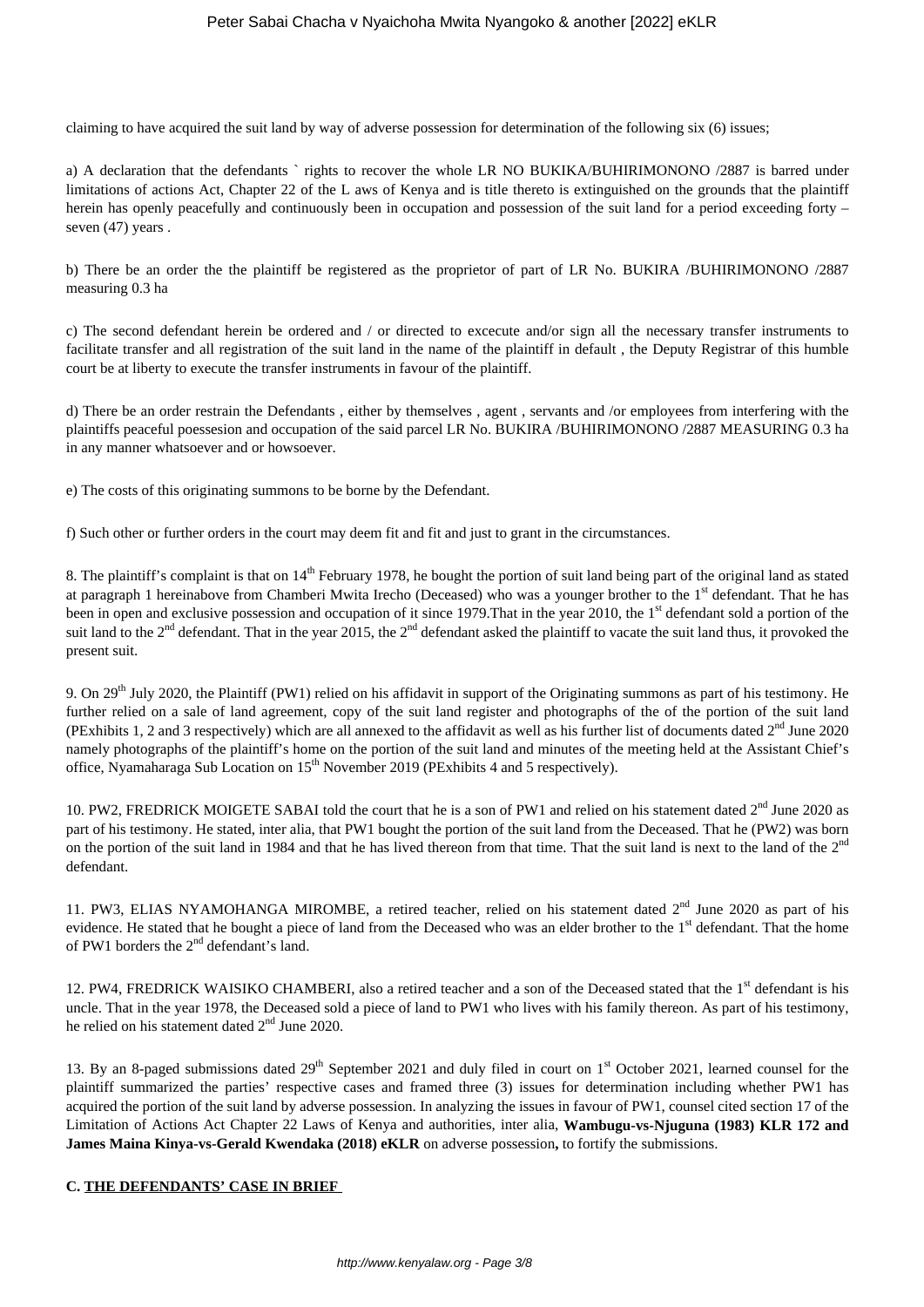claiming to have acquired the suit land by way of adverse possession for determination of the following six (6) issues;

a) A declaration that the defendants ` rights to recover the whole LR NO BUKIKA/BUHIRIMONONO /2887 is barred under limitations of actions Act, Chapter 22 of the L aws of Kenya and is title thereto is extinguished on the grounds that the plaintiff herein has openly peacefully and continuously been in occupation and possession of the suit land for a period exceeding forty – seven (47) years.

b) There be an order the the plaintiff be registered as the proprietor of part of LR No. BUKIRA /BUHIRIMONONO /2887 measuring 0.3 ha

c) The second defendant herein be ordered and / or directed to excecute and/or sign all the necessary transfer instruments to facilitate transfer and all registration of the suit land in the name of the plaintiff in default , the Deputy Registrar of this humble court be at liberty to execute the transfer instruments in favour of the plaintiff.

d) There be an order restrain the Defendants , either by themselves , agent , servants and /or employees from interfering with the plaintiffs peaceful poessesion and occupation of the said parcel LR No. BUKIRA /BUHIRIMONONO /2887 MEASURING 0.3 ha in any manner whatsoever and or howsoever.

e) The costs of this originating summons to be borne by the Defendant.

f) Such other or further orders in the court may deem fit and fit and just to grant in the circumstances.

8. The plaintiff's complaint is that on 14<sup>th</sup> February 1978, he bought the portion of suit land being part of the original land as stated at paragraph 1 hereinabove from Chamberi Mwita Irecho (Deceased) who was a younger brother to the  $1<sup>st</sup>$  defendant. That he has been in open and exclusive possession and occupation of it since 1979. That in the year 2010, the 1<sup>st</sup> defendant sold a portion of the suit land to the  $2^{nd}$  defendant. That in the year 2015, the  $2^{nd}$  defendant asked the plaintiff to vacate the suit land thus, it provoked the present suit.

9. On  $29<sup>th</sup>$  July 2020, the Plaintiff (PW1) relied on his affidavit in support of the Originating summons as part of his testimony. He further relied on a sale of land agreement, copy of the suit land register and photographs of the of the portion of the suit land (PExhibits 1, 2 and 3 respectively) which are all annexed to the affidavit as well as his further list of documents dated  $2<sup>nd</sup>$  June 2020 namely photographs of the plaintiff's home on the portion of the suit land and minutes of the meeting held at the Assistant Chief's office, Nyamaharaga Sub Location on 15<sup>th</sup> November 2019 (PExhibits 4 and 5 respectively).

10. PW2, FREDRICK MOIGETE SABAI told the court that he is a son of PW1 and relied on his statement dated 2<sup>nd</sup> June 2020 as part of his testimony. He stated, inter alia, that PW1 bought the portion of the suit land from the Deceased. That he (PW2) was born on the portion of the suit land in 1984 and that he has lived thereon from that time. That the suit land is next to the land of the 2<sup>nd</sup> defendant.

11. PW3, ELIAS NYAMOHANGA MIROMBE, a retired teacher, relied on his statement dated  $2<sup>nd</sup>$  June 2020 as part of his evidence. He stated that he bought a piece of land from the Deceased who was an elder brother to the 1<sup>st</sup> defendant. That the home of PW1 borders the 2nd defendant's land.

12. PW4, FREDRICK WAISIKO CHAMBERI, also a retired teacher and a son of the Deceased stated that the 1<sup>st</sup> defendant is his uncle. That in the year 1978, the Deceased sold a piece of land to PW1 who lives with his family thereon. As part of his testimony, he relied on his statement dated 2<sup>nd</sup> June 2020.

13. By an 8-paged submissions dated  $29<sup>th</sup>$  September 2021 and duly filed in court on  $1<sup>st</sup>$  October 2021, learned counsel for the plaintiff summarized the parties' respective cases and framed three (3) issues for determination including whether PW1 has acquired the portion of the suit land by adverse possession. In analyzing the issues in favour of PW1, counsel cited section 17 of the Limitation of Actions Act Chapter 22 Laws of Kenya and authorities, inter alia, **Wambugu-vs-Njuguna (1983) KLR 172 and James Maina Kinya-vs-Gerald Kwendaka (2018) eKLR** on adverse possession**,** to fortify the submissions.

#### **C. THE DEFENDANTS' CASE IN BRIEF**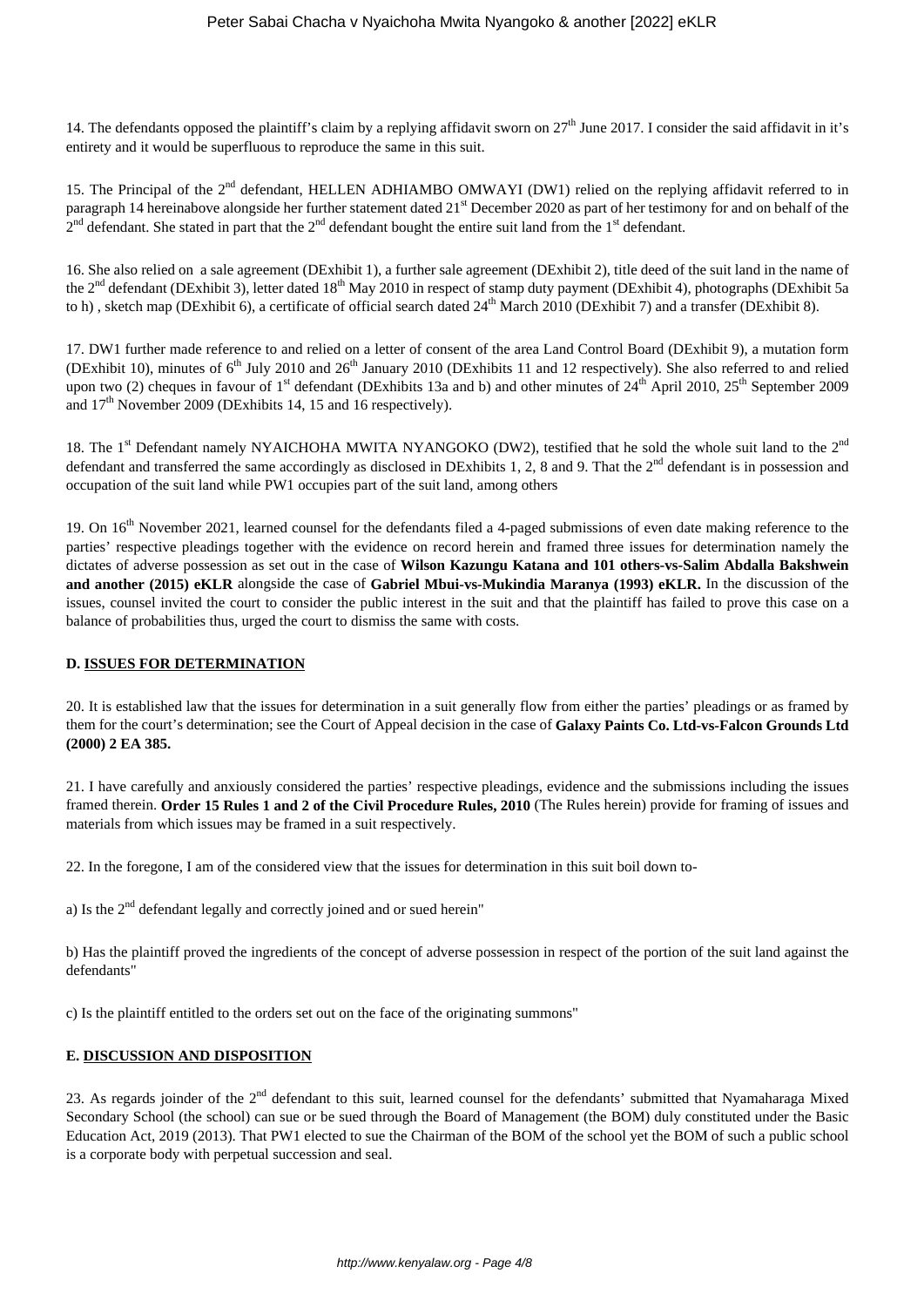14. The defendants opposed the plaintiff's claim by a replying affidavit sworn on  $27<sup>th</sup>$  June 2017. I consider the said affidavit in it's entirety and it would be superfluous to reproduce the same in this suit.

15. The Principal of the 2<sup>nd</sup> defendant, HELLEN ADHIAMBO OMWAYI (DW1) relied on the replying affidavit referred to in paragraph 14 hereinabove alongside her further statement dated 21<sup>st</sup> December 2020 as part of her testimony for and on behalf of the  $2^{nd}$  defendant. She stated in part that the  $2^{nd}$  defendant bought the entire suit land from the 1<sup>st</sup> defendant.

16. She also relied on a sale agreement (DExhibit 1), a further sale agreement (DExhibit 2), title deed of the suit land in the name of the 2<sup>nd</sup> defendant (DExhibit 3), letter dated 18<sup>th</sup> May 2010 in respect of stamp duty payment (DExhibit 4), photographs (DExhibit 5a to h), sketch map (DExhibit 6), a certificate of official search dated  $24<sup>th</sup>$  March 2010 (DExhibit 7) and a transfer (DExhibit 8).

17. DW1 further made reference to and relied on a letter of consent of the area Land Control Board (DExhibit 9), a mutation form (DExhibit 10), minutes of  $6<sup>th</sup>$  July 2010 and  $26<sup>th</sup>$  January 2010 (DExhibits 11 and 12 respectively). She also referred to and relied upon two (2) cheques in favour of  $1<sup>st</sup>$  defendant (DExhibits 13a and b) and other minutes of  $24<sup>th</sup>$  April 2010,  $25<sup>th</sup>$  September 2009 and  $17<sup>th</sup>$  November 2009 (DExhibits 14, 15 and 16 respectively).

18. The 1<sup>st</sup> Defendant namely NYAICHOHA MWITA NYANGOKO (DW2), testified that he sold the whole suit land to the 2<sup>nd</sup> defendant and transferred the same accordingly as disclosed in DExhibits 1, 2, 8 and 9. That the 2<sup>nd</sup> defendant is in possession and occupation of the suit land while PW1 occupies part of the suit land, among others

19. On 16<sup>th</sup> November 2021, learned counsel for the defendants filed a 4-paged submissions of even date making reference to the parties' respective pleadings together with the evidence on record herein and framed three issues for determination namely the dictates of adverse possession as set out in the case of **Wilson Kazungu Katana and 101 others-vs-Salim Abdalla Bakshwein and another (2015) eKLR** alongside the case of **Gabriel Mbui-vs-Mukindia Maranya (1993) eKLR.** In the discussion of the issues, counsel invited the court to consider the public interest in the suit and that the plaintiff has failed to prove this case on a balance of probabilities thus, urged the court to dismiss the same with costs.

### **D. ISSUES FOR DETERMINATION**

20. It is established law that the issues for determination in a suit generally flow from either the parties' pleadings or as framed by them for the court's determination; see the Court of Appeal decision in the case of **Galaxy Paints Co. Ltd-vs-Falcon Grounds Ltd (2000) 2 EA 385.**

21. I have carefully and anxiously considered the parties' respective pleadings, evidence and the submissions including the issues framed therein. **Order 15 Rules 1 and 2 of the Civil Procedure Rules, 2010** (The Rules herein) provide for framing of issues and materials from which issues may be framed in a suit respectively.

22. In the foregone, I am of the considered view that the issues for determination in this suit boil down to-

a) Is the  $2<sup>nd</sup>$  defendant legally and correctly joined and or sued herein"

b) Has the plaintiff proved the ingredients of the concept of adverse possession in respect of the portion of the suit land against the defendants"

c) Is the plaintiff entitled to the orders set out on the face of the originating summons"

## **E. DISCUSSION AND DISPOSITION**

23. As regards joinder of the 2<sup>nd</sup> defendant to this suit, learned counsel for the defendants' submitted that Nyamaharaga Mixed Secondary School (the school) can sue or be sued through the Board of Management (the BOM) duly constituted under the Basic Education Act, 2019 (2013). That PW1 elected to sue the Chairman of the BOM of the school yet the BOM of such a public school is a corporate body with perpetual succession and seal.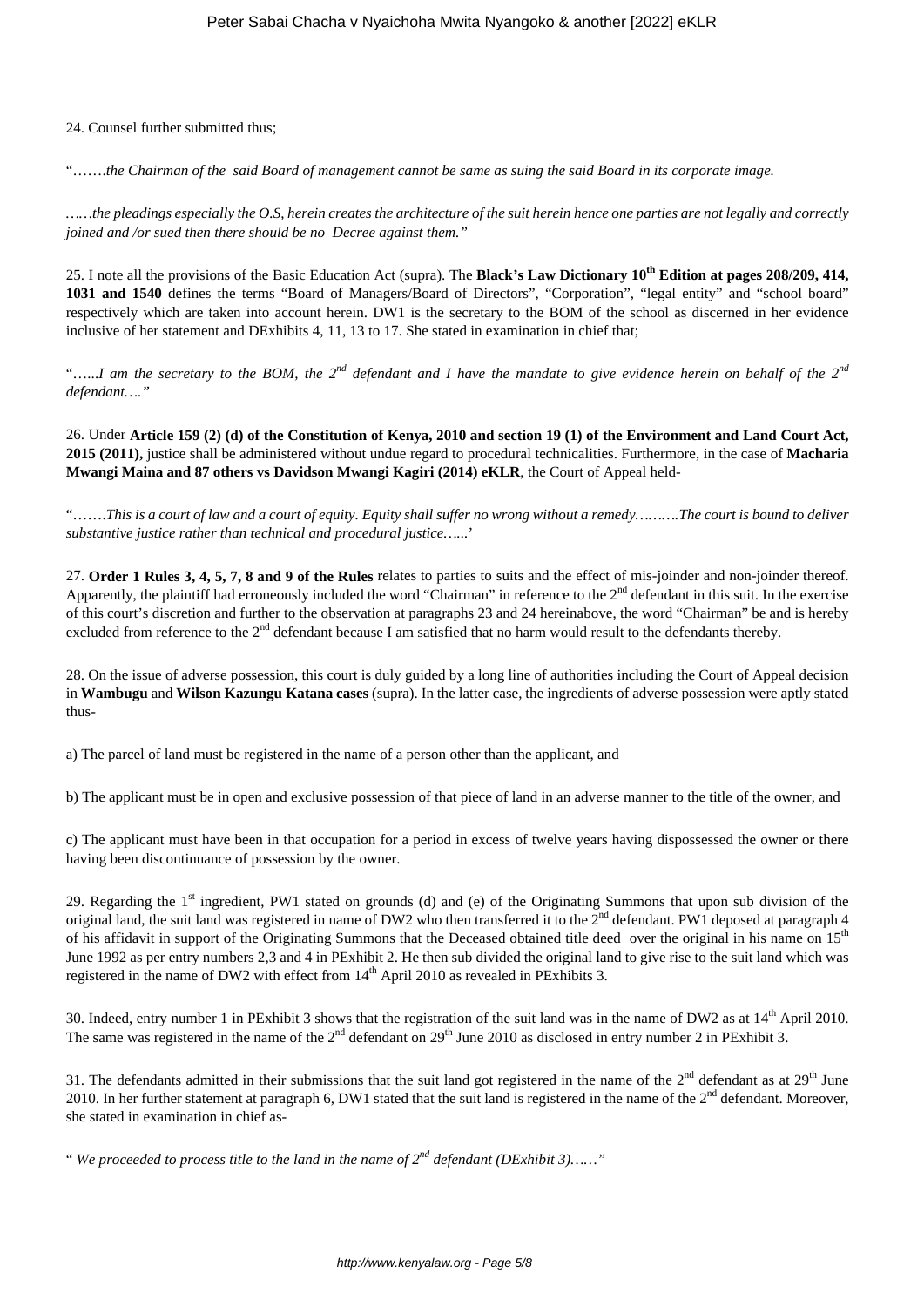### 24. Counsel further submitted thus;

"…….*the Chairman of the said Board of management cannot be same as suing the said Board in its corporate image.*

*……the pleadings especially the O.S, herein creates the architecture of the suit herein hence one parties are not legally and correctly joined and /or sued then there should be no Decree against them."*

25. I note all the provisions of the Basic Education Act (supra). The **Black's Law Dictionary 10th Edition at pages 208/209, 414, 1031 and 1540** defines the terms "Board of Managers/Board of Directors", "Corporation", "legal entity" and "school board" respectively which are taken into account herein. DW1 is the secretary to the BOM of the school as discerned in her evidence inclusive of her statement and DExhibits 4, 11, 13 to 17. She stated in examination in chief that;

"…...*I am the secretary to the BOM, the 2nd defendant and I have the mandate to give evidence herein on behalf of the 2nd defendant…."*

26. Under **Article 159 (2) (d) of the Constitution of Kenya, 2010 and section 19 (1) of the Environment and Land Court Act, 2015 (2011),** justice shall be administered without undue regard to procedural technicalities. Furthermore, in the case of **Macharia Mwangi Maina and 87 others vs Davidson Mwangi Kagiri (2014) eKLR**, the Court of Appeal held-

"…….*This is a court of law and a court of equity. Equity shall suffer no wrong without a remedy……….The court is bound to deliver substantive justice rather than technical and procedural justice…...*'

27. **Order 1 Rules 3, 4, 5, 7, 8 and 9 of the Rules** relates to parties to suits and the effect of mis-joinder and non-joinder thereof. Apparently, the plaintiff had erroneously included the word "Chairman" in reference to the  $2<sup>nd</sup>$  defendant in this suit. In the exercise of this court's discretion and further to the observation at paragraphs 23 and 24 hereinabove, the word "Chairman" be and is hereby excluded from reference to the  $2<sup>nd</sup>$  defendant because I am satisfied that no harm would result to the defendants thereby.

28. On the issue of adverse possession, this court is duly guided by a long line of authorities including the Court of Appeal decision in **Wambugu** and **Wilson Kazungu Katana cases** (supra). In the latter case, the ingredients of adverse possession were aptly stated thus-

a) The parcel of land must be registered in the name of a person other than the applicant, and

b) The applicant must be in open and exclusive possession of that piece of land in an adverse manner to the title of the owner, and

c) The applicant must have been in that occupation for a period in excess of twelve years having dispossessed the owner or there having been discontinuance of possession by the owner.

29. Regarding the  $1<sup>st</sup>$  ingredient, PW1 stated on grounds (d) and (e) of the Originating Summons that upon sub division of the original land, the suit land was registered in name of DW2 who then transferred it to the 2<sup>nd</sup> defendant. PW1 deposed at paragraph 4 of his affidavit in support of the Originating Summons that the Deceased obtained title deed over the original in his name on 15<sup>th</sup> June 1992 as per entry numbers 2,3 and 4 in PExhibit 2. He then sub divided the original land to give rise to the suit land which was registered in the name of DW2 with effect from  $14<sup>th</sup>$  April 2010 as revealed in PExhibits 3.

30. Indeed, entry number 1 in PExhibit 3 shows that the registration of the suit land was in the name of DW2 as at  $14<sup>th</sup>$  April 2010. The same was registered in the name of the  $2^{nd}$  defendant on  $29^{th}$  June 2010 as disclosed in entry number 2 in PExhibit 3.

31. The defendants admitted in their submissions that the suit land got registered in the name of the  $2<sup>nd</sup>$  defendant as at  $29<sup>th</sup>$  June 2010. In her further statement at paragraph 6, DW1 stated that the suit land is registered in the name of the  $2<sup>nd</sup>$  defendant. Moreover, she stated in examination in chief as-

" *We proceeded to process title to the land in the name of 2nd defendant (DExhibit 3)……"*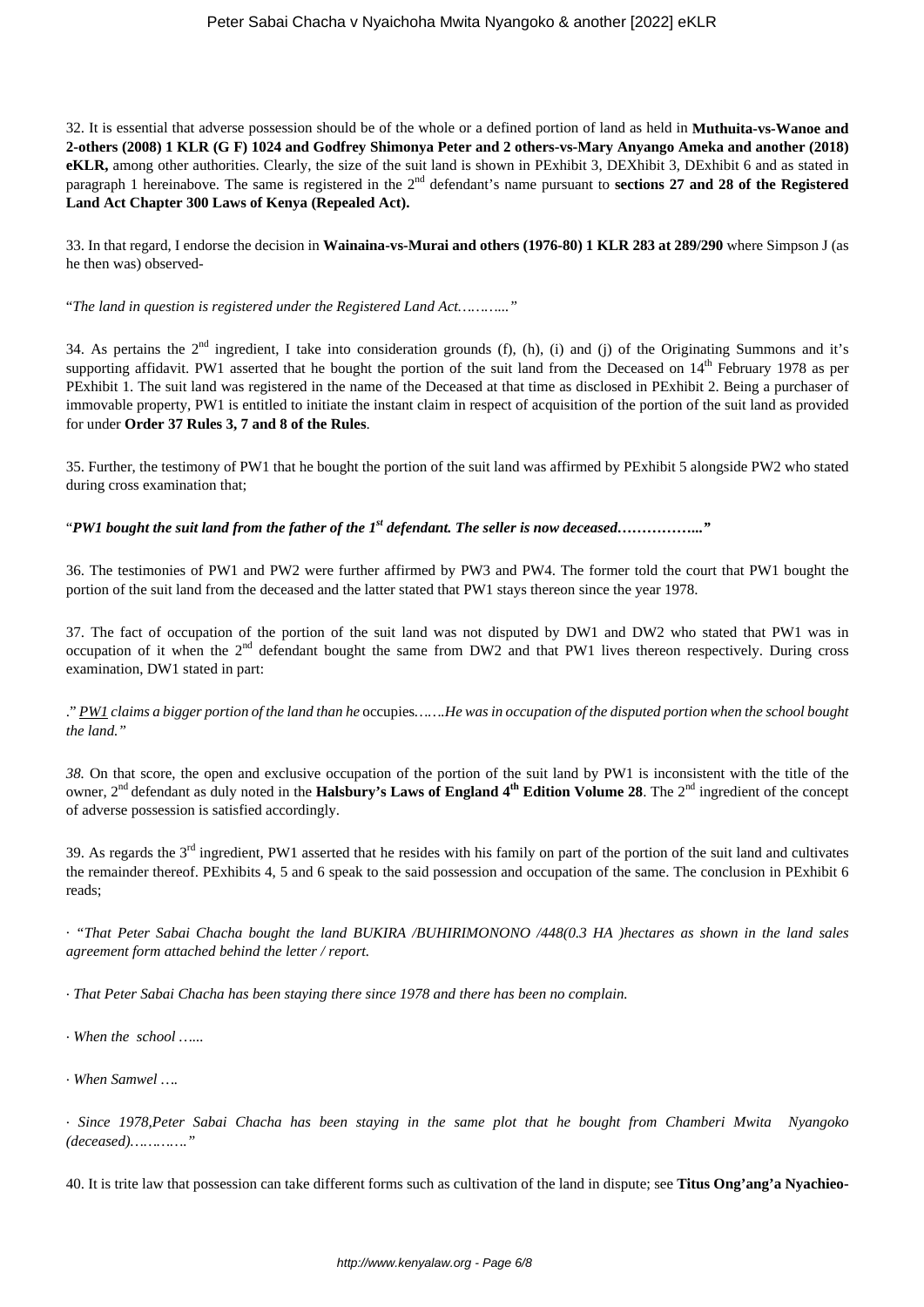32. It is essential that adverse possession should be of the whole or a defined portion of land as held in **Muthuita-vs-Wanoe and 2-others (2008) 1 KLR (G F) 1024 and Godfrey Shimonya Peter and 2 others-vs-Mary Anyango Ameka and another (2018) eKLR,** among other authorities. Clearly, the size of the suit land is shown in PExhibit 3, DEXhibit 3, DExhibit 6 and as stated in paragraph 1 hereinabove. The same is registered in the 2<sup>nd</sup> defendant's name pursuant to **sections 27 and 28 of the Registered Land Act Chapter 300 Laws of Kenya (Repealed Act).**

33. In that regard, I endorse the decision in **Wainaina-vs-Murai and others (1976-80) 1 KLR 283 at 289/290** where Simpson J (as he then was) observed-

"*The land in question is registered under the Registered Land Act………..."*

34. As pertains the  $2<sup>nd</sup>$  ingredient, I take into consideration grounds (f), (h), (i) and (j) of the Originating Summons and it's supporting affidavit. PW1 asserted that he bought the portion of the suit land from the Deceased on  $14<sup>th</sup>$  February 1978 as per PExhibit 1. The suit land was registered in the name of the Deceased at that time as disclosed in PExhibit 2. Being a purchaser of immovable property, PW1 is entitled to initiate the instant claim in respect of acquisition of the portion of the suit land as provided for under **Order 37 Rules 3, 7 and 8 of the Rules**.

35. Further, the testimony of PW1 that he bought the portion of the suit land was affirmed by PExhibit 5 alongside PW2 who stated during cross examination that;

"*PW1 bought the suit land from the father of the 1st defendant. The seller is now deceased……………..."*

36. The testimonies of PW1 and PW2 were further affirmed by PW3 and PW4. The former told the court that PW1 bought the portion of the suit land from the deceased and the latter stated that PW1 stays thereon since the year 1978.

37. The fact of occupation of the portion of the suit land was not disputed by DW1 and DW2 who stated that PW1 was in occupation of it when the  $2<sup>nd</sup>$  defendant bought the same from DW2 and that PW1 lives thereon respectively. During cross examination, DW1 stated in part:

." *PW1 claims a bigger portion of the land than he* occupies*…….He was in occupation of the disputed portion when the school bought the land."*

*38.* On that score, the open and exclusive occupation of the portion of the suit land by PW1 is inconsistent with the title of the owner, 2nd defendant as duly noted in the **Halsbury's Laws of England 4th Edition Volume 28**. The 2nd ingredient of the concept of adverse possession is satisfied accordingly.

39. As regards the  $3<sup>rd</sup>$  ingredient, PW1 asserted that he resides with his family on part of the portion of the suit land and cultivates the remainder thereof. PExhibits 4, 5 and 6 speak to the said possession and occupation of the same. The conclusion in PExhibit 6 reads;

· *"That Peter Sabai Chacha bought the land BUKIRA /BUHIRIMONONO /448(0.3 HA )hectares as shown in the land sales agreement form attached behind the letter / report.*

· *That Peter Sabai Chacha has been staying there since 1978 and there has been no complain.*

· *When the school …...*

· *When Samwel ….*

· *Since 1978,Peter Sabai Chacha has been staying in the same plot that he bought from Chamberi Mwita Nyangoko (deceased)…………."*

40. It is trite law that possession can take different forms such as cultivation of the land in dispute; see **Titus Ong'ang'a Nyachieo-**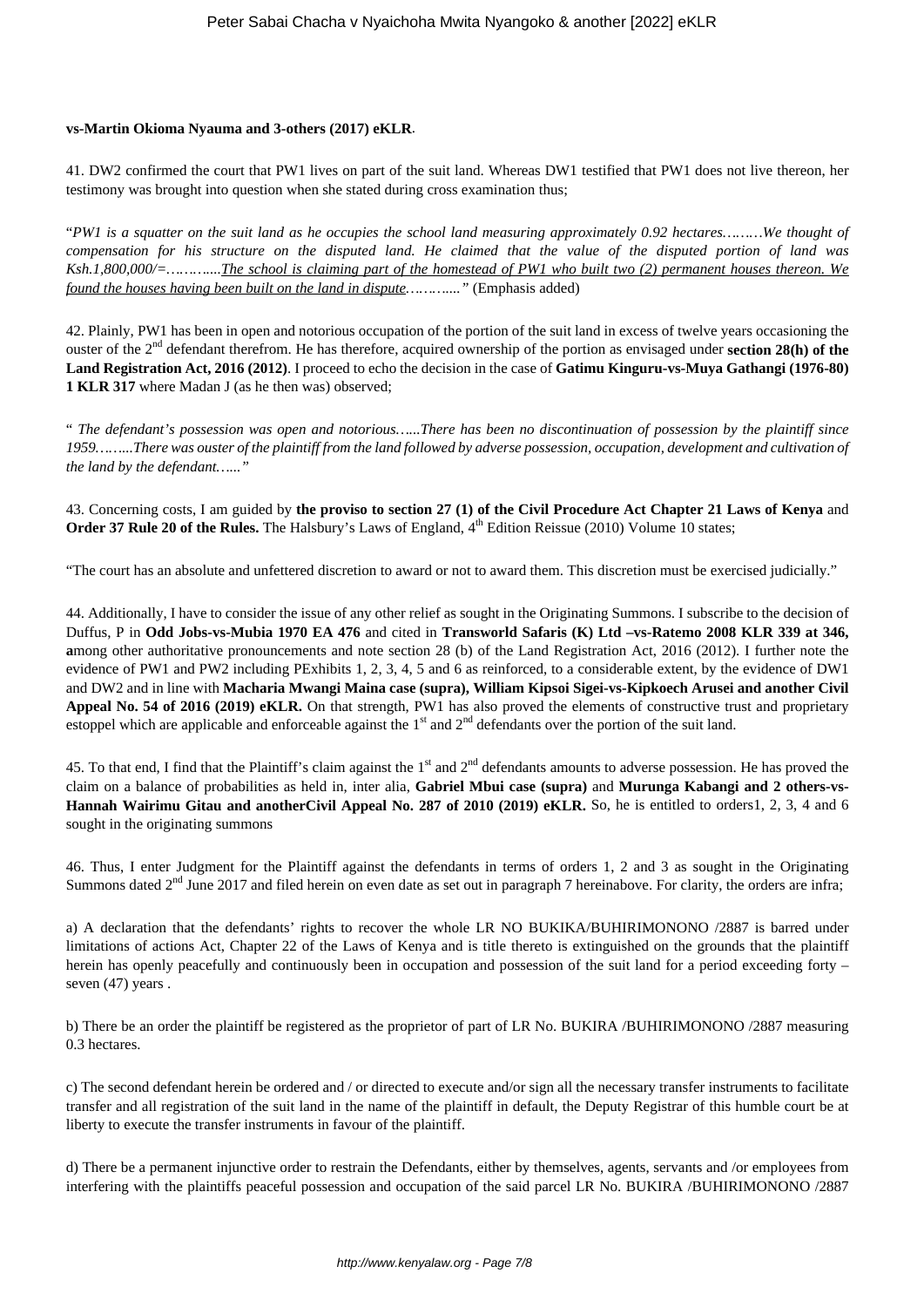#### **vs-Martin Okioma Nyauma and 3-others (2017) eKLR**.

41. DW2 confirmed the court that PW1 lives on part of the suit land. Whereas DW1 testified that PW1 does not live thereon, her testimony was brought into question when she stated during cross examination thus;

"*PW1 is a squatter on the suit land as he occupies the school land measuring approximately 0.92 hectares………We thought of compensation for his structure on the disputed land. He claimed that the value of the disputed portion of land was Ksh.1,800,000/=………....The school is claiming part of the homestead of PW1 who built two (2) permanent houses thereon. We found the houses having been built on the land in dispute………...."* (Emphasis added)

42. Plainly, PW1 has been in open and notorious occupation of the portion of the suit land in excess of twelve years occasioning the ouster of the 2nd defendant therefrom. He has therefore, acquired ownership of the portion as envisaged under **section 28(h) of the Land Registration Act, 2016 (2012)**. I proceed to echo the decision in the case of **Gatimu Kinguru-vs-Muya Gathangi (1976-80) 1 KLR 317** where Madan J (as he then was) observed;

" *The defendant's possession was open and notorious…...There has been no discontinuation of possession by the plaintiff since 1959……...There was ouster of the plaintiff from the land followed by adverse possession, occupation, development and cultivation of the land by the defendant…..."*

43. Concerning costs, I am guided by **the proviso to section 27 (1) of the Civil Procedure Act Chapter 21 Laws of Kenya** and **Order 37 Rule 20 of the Rules.** The Halsbury's Laws of England, 4<sup>th</sup> Edition Reissue (2010) Volume 10 states;

"The court has an absolute and unfettered discretion to award or not to award them. This discretion must be exercised judicially."

44. Additionally, I have to consider the issue of any other relief as sought in the Originating Summons. I subscribe to the decision of Duffus, P in **Odd Jobs-vs-Mubia 1970 EA 476** and cited in **Transworld Safaris (K) Ltd –vs-Ratemo 2008 KLR 339 at 346, a**mong other authoritative pronouncements and note section 28 (b) of the Land Registration Act, 2016 (2012). I further note the evidence of PW1 and PW2 including PExhibits 1, 2, 3, 4, 5 and 6 as reinforced, to a considerable extent, by the evidence of DW1 and DW2 and in line with **Macharia Mwangi Maina case (supra), William Kipsoi Sigei-vs-Kipkoech Arusei and another Civil Appeal No. 54 of 2016 (2019) eKLR.** On that strength, PW1 has also proved the elements of constructive trust and proprietary estoppel which are applicable and enforceable against the  $1<sup>st</sup>$  and  $2<sup>nd</sup>$  defendants over the portion of the suit land.

45. To that end, I find that the Plaintiff's claim against the 1<sup>st</sup> and 2<sup>nd</sup> defendants amounts to adverse possession. He has proved the claim on a balance of probabilities as held in, inter alia, **Gabriel Mbui case (supra)** and **Murunga Kabangi and 2 others-vs-Hannah Wairimu Gitau and anotherCivil Appeal No. 287 of 2010 (2019) eKLR.** So, he is entitled to orders1, 2, 3, 4 and 6 sought in the originating summons

46. Thus, I enter Judgment for the Plaintiff against the defendants in terms of orders 1, 2 and 3 as sought in the Originating Summons dated  $2<sup>nd</sup>$  June 2017 and filed herein on even date as set out in paragraph 7 hereinabove. For clarity, the orders are infra;

a) A declaration that the defendants' rights to recover the whole LR NO BUKIKA/BUHIRIMONONO /2887 is barred under limitations of actions Act, Chapter 22 of the Laws of Kenya and is title thereto is extinguished on the grounds that the plaintiff herein has openly peacefully and continuously been in occupation and possession of the suit land for a period exceeding forty – seven (47) years.

b) There be an order the plaintiff be registered as the proprietor of part of LR No. BUKIRA /BUHIRIMONONO /2887 measuring 0.3 hectares.

c) The second defendant herein be ordered and / or directed to execute and/or sign all the necessary transfer instruments to facilitate transfer and all registration of the suit land in the name of the plaintiff in default, the Deputy Registrar of this humble court be at liberty to execute the transfer instruments in favour of the plaintiff.

d) There be a permanent injunctive order to restrain the Defendants, either by themselves, agents, servants and /or employees from interfering with the plaintiffs peaceful possession and occupation of the said parcel LR No. BUKIRA /BUHIRIMONONO /2887